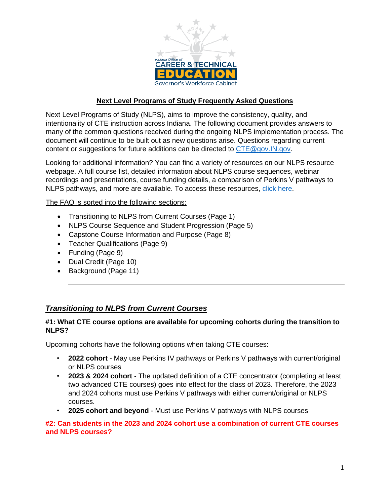

## **Next Level Programs of Study Frequently Asked Questions**

Next Level Programs of Study (NLPS), aims to improve the consistency, quality, and intentionality of CTE instruction across Indiana. The following document provides answers to many of the common questions received during the ongoing NLPS implementation process. The document will continue to be built out as new questions arise. Questions regarding current content or suggestions for future additions can be directed to CTE@gov.IN.gov.

Looking for additional information? You can find a variety of resources on our NLPS resource webpage. A full course list, detailed information about NLPS course sequences, webinar recordings and presentations, course funding details, a comparison of Perkins V pathways to NLPS pathways, and more are available. To access these resources, [click here.](https://www.in.gov/gwc/cte/career-pathways-programs-of-study/)

The FAQ is sorted into the following sections:

- Transitioning to NLPS from Current Courses (Page 1)
- NLPS Course Sequence and Student Progression (Page 5)
- Capstone Course Information and Purpose (Page 8)
- Teacher Qualifications (Page 9)
- Funding (Page 9)
- Dual Credit (Page 10)
- Background (Page 11)

## *Transitioning to NLPS from Current Courses*

#### **#1: What CTE course options are available for upcoming cohorts during the transition to NLPS?**

Upcoming cohorts have the following options when taking CTE courses:

- **2022 cohort** May use Perkins IV pathways or Perkins V pathways with current/original or NLPS courses
- **2023 & 2024 cohort** The updated definition of a CTE concentrator (completing at least two advanced CTE courses) goes into effect for the class of 2023. Therefore, the 2023 and 2024 cohorts must use Perkins V pathways with either current/original or NLPS courses.
- **2025 cohort and beyond** Must use Perkins V pathways with NLPS courses

#### **#2: Can students in the 2023 and 2024 cohort use a combination of current CTE courses and NLPS courses?**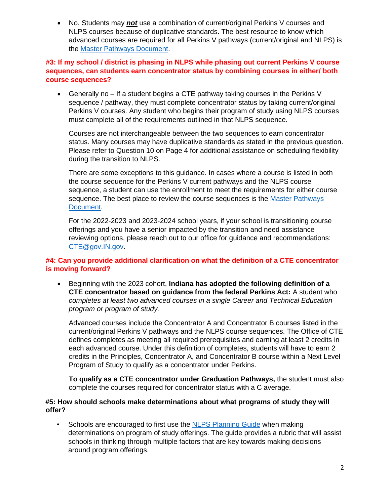• No. Students may *not* use a combination of current/original Perkins V courses and NLPS courses because of duplicative standards. The best resource to know which advanced courses are required for all Perkins V pathways (current/original and NLPS) is the [Master Pathways Document.](https://www.in.gov/gwc/cte/files/Master-Pathways-Document_11.19.21.xlsx)

### **#3: If my school / district is phasing in NLPS while phasing out current Perkins V course sequences, can students earn concentrator status by combining courses in either/ both course sequences?**

• Generally no – If a student begins a CTE pathway taking courses in the Perkins V sequence / pathway, they must complete concentrator status by taking current/original Perkins V courses. Any student who begins their program of study using NLPS courses must complete all of the requirements outlined in that NLPS sequence.

Courses are not interchangeable between the two sequences to earn concentrator status. Many courses may have duplicative standards as stated in the previous question. Please refer to Question 10 on Page 4 for additional assistance on scheduling flexibility during the transition to NLPS.

There are some exceptions to this guidance. In cases where a course is listed in both the course sequence for the Perkins V current pathways and the NLPS course sequence, a student can use the enrollment to meet the requirements for either course sequence. The best place to review the course sequences is the [Master Pathways](https://www.in.gov/gwc/cte/files/Master-Pathways-Document_11.19.21.xlsx)  [Document.](https://www.in.gov/gwc/cte/files/Master-Pathways-Document_11.19.21.xlsx)

For the 2022-2023 and 2023-2024 school years, if your school is transitioning course offerings and you have a senior impacted by the transition and need assistance reviewing options, please reach out to our office for guidance and recommendations: [CTE@gov.IN.gov.](mailto:CTE@gov.IN.gov)

## **#4: Can you provide additional clarification on what the definition of a CTE concentrator is moving forward?**

• Beginning with the 2023 cohort, **Indiana has adopted the following definition of a CTE concentrator based on guidance from the federal Perkins Act:** A student who *completes at least two advanced courses in a single Career and Technical Education program or program of study.*

Advanced courses include the Concentrator A and Concentrator B courses listed in the current/original Perkins V pathways and the NLPS course sequences. The Office of CTE defines completes as meeting all required prerequisites and earning at least 2 credits in each advanced course. Under this definition of completes, students will have to earn 2 credits in the Principles, Concentrator A, and Concentrator B course within a Next Level Program of Study to qualify as a concentrator under Perkins.

**To qualify as a CTE concentrator under Graduation Pathways,** the student must also complete the courses required for concentrator status with a C average.

#### **#5: How should schools make determinations about what programs of study they will offer?**

• Schools are encouraged to first use th[e](https://www.in.gov/gwc/cte/files/NLPS-Planning-Guide_11.5.21.pdf) [NLPS Planning Guide](https://www.in.gov/gwc/cte/files/NLPS-Planning-Guide_11.5.21.pdf) when making determinations on program of study offerings. The guide provides a rubric that will assist schools in thinking through multiple factors that are key towards making decisions around program offerings.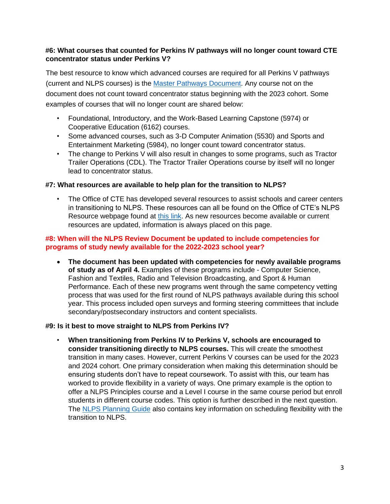## **#6: What courses that counted for Perkins IV pathways will no longer count toward CTE concentrator status under Perkins V?**

The best resource to know which advanced courses are required for all Perkins V pathways (current and NLPS courses) is the [Master Pathways Document.](https://www.in.gov/gwc/cte/files/Master-Pathways-Document_11.19.21.xlsx) Any course not on the document does not count toward concentrator status beginning with the 2023 cohort. Some examples of courses that will no longer count are shared below:

- Foundational, Introductory, and the Work-Based Learning Capstone (5974) or Cooperative Education (6162) courses.
- Some advanced courses, such as 3-D Computer Animation (5530) and Sports and Entertainment Marketing (5984), no longer count toward concentrator status.
- The change to Perkins V will also result in changes to some programs, such as Tractor Trailer Operations (CDL). The Tractor Trailer Operations course by itself will no longer lead to concentrator status.

#### **#7: What resources are available to help plan for the transition to NLPS?**

The Office of CTE has developed several resources to assist schools and career centers in transitioning to NLPS. These resources can all be found on the Office of CTE's NLPS Resource webpage found at [this link.](https://www.in.gov/gwc/cte/career-pathways-programs-of-study/) As new resources become available or current resources are updated, information is always placed on this page.

#### **#8: When will the NLPS Review Document be updated to include competencies for programs of study newly available for the 2022-2023 school year?**

• **The document has been updated with competencies for newly available programs of study as of April 4.** Examples of these programs include - Computer Science, Fashion and Textiles, Radio and Television Broadcasting, and Sport & Human Performance. Each of these new programs went through the same competency vetting process that was used for the first round of NLPS pathways available during this school year. This process included open surveys and forming steering committees that include secondary/postsecondary instructors and content specialists.

#### **#9: Is it best to move straight to NLPS from Perkins IV?**

• **When transitioning from Perkins IV to Perkins V, schools are encouraged to consider transitioning directly to NLPS courses.** This will create the smoothest transition in many cases. However, current Perkins V courses can be used for the 2023 and 2024 cohort. One primary consideration when making this determination should be ensuring students don't have to repeat coursework. To assist with this, our team has worked to provide flexibility in a variety of ways. One primary example is the option to offer a NLPS Principles course and a Level I course in the same course period but enroll students in different course codes. This option is further described in the next question. The [NLPS Planning Guide](https://www.in.gov/gwc/cte/files/NLPS-Planning-Guide_11.5.21.pdf) [a](https://www.in.gov/gwc/cte/files/NLPS-Planning-Guide_11.5.21.pdf)lso contains key information on scheduling flexibility with the transition to NLPS.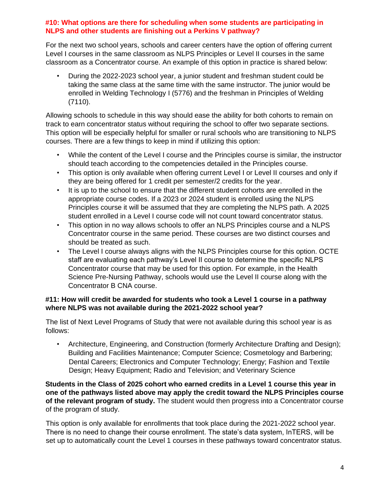## **#10: What options are there for scheduling when some students are participating in NLPS and other students are finishing out a Perkins V pathway?**

For the next two school years, schools and career centers have the option of offering current Level I courses in the same classroom as NLPS Principles or Level II courses in the same classroom as a Concentrator course. An example of this option in practice is shared below:

• During the 2022-2023 school year, a junior student and freshman student could be taking the same class at the same time with the same instructor. The junior would be enrolled in Welding Technology I (5776) and the freshman in Principles of Welding (7110).

Allowing schools to schedule in this way should ease the ability for both cohorts to remain on track to earn concentrator status without requiring the school to offer two separate sections. This option will be especially helpful for smaller or rural schools who are transitioning to NLPS courses. There are a few things to keep in mind if utilizing this option:

- While the content of the Level I course and the Principles course is similar, the instructor should teach according to the competencies detailed in the Principles course.
- This option is only available when offering current Level I or Level II courses and only if they are being offered for 1 credit per semester/2 credits for the year.
- It is up to the school to ensure that the different student cohorts are enrolled in the appropriate course codes. If a 2023 or 2024 student is enrolled using the NLPS Principles course it will be assumed that they are completing the NLPS path. A 2025 student enrolled in a Level I course code will not count toward concentrator status.
- This option in no way allows schools to offer an NLPS Principles course and a NLPS Concentrator course in the same period. These courses are two distinct courses and should be treated as such.
- The Level I course always aligns with the NLPS Principles course for this option. OCTE staff are evaluating each pathway's Level II course to determine the specific NLPS Concentrator course that may be used for this option. For example, in the Health Science Pre-Nursing Pathway, schools would use the Level II course along with the Concentrator B CNA course.

## **#11: How will credit be awarded for students who took a Level 1 course in a pathway where NLPS was not available during the 2021-2022 school year?**

The list of Next Level Programs of Study that were not available during this school year is as follows:

• Architecture, Engineering, and Construction (formerly Architecture Drafting and Design); Building and Facilities Maintenance; Computer Science; Cosmetology and Barbering; Dental Careers; Electronics and Computer Technology; Energy; Fashion and Textile Design; Heavy Equipment; Radio and Television; and Veterinary Science

**Students in the Class of 2025 cohort who earned credits in a Level 1 course this year in one of the pathways listed above may apply the credit toward the NLPS Principles course of the relevant program of study.** The student would then progress into a Concentrator course of the program of study.

This option is only available for enrollments that took place during the 2021-2022 school year. There is no need to change their course enrollment. The state's data system, InTERS, will be set up to automatically count the Level 1 courses in these pathways toward concentrator status.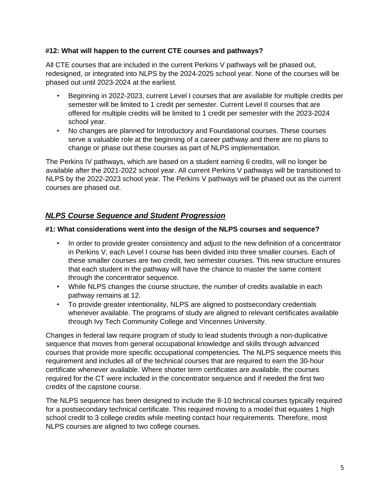## **#12: What will happen to the current CTE courses and pathways?**

All CTE courses that are included in the current Perkins V pathways will be phased out, redesigned, or integrated into NLPS by the 2024-2025 school year. None of the courses will be phased out until 2023-2024 at the earliest.

- Beginning in 2022-2023, current Level I courses that are available for multiple credits per semester will be limited to 1 credit per semester. Current Level II courses that are offered for multiple credits will be limited to 1 credit per semester with the 2023-2024 school year.
- No changes are planned for Introductory and Foundational courses. These courses serve a valuable role at the beginning of a career pathway and there are no plans to change or phase out these courses as part of NLPS implementation.

The Perkins IV pathways, which are based on a student earning 6 credits, will no longer be available after the 2021-2022 school year. All current Perkins V pathways will be transitioned to NLPS by the 2022-2023 school year. The Perkins V pathways will be phased out as the current courses are phased out.

## *NLPS Course Sequence and Student Progression*

## **#1: What considerations went into the design of the NLPS courses and sequence?**

- In order to provide greater consistency and adjust to the new definition of a concentrator in Perkins V, each Level I course has been divided into three smaller courses. Each of these smaller courses are two credit, two semester courses. This new structure ensures that each student in the pathway will have the chance to master the same content through the concentrator sequence.
- While NLPS changes the course structure, the number of credits available in each pathway remains at 12.
- To provide greater intentionality, NLPS are aligned to postsecondary credentials whenever available. The programs of study are aligned to relevant certificates available through Ivy Tech Community College and Vincennes University.

Changes in federal law require program of study to lead students through a non-duplicative sequence that moves from general occupational knowledge and skills through advanced courses that provide more specific occupational competencies. The NLPS sequence meets this requirement and includes all of the technical courses that are required to earn the 30-hour certificate whenever available. Where shorter term certificates are available, the courses required for the CT were included in the concentrator sequence and if needed the first two credits of the capstone course.

The NLPS sequence has been designed to include the 8-10 technical courses typically required for a postsecondary technical certificate. This required moving to a model that equates 1 high school credit to 3 college credits while meeting contact hour requirements. Therefore, most NLPS courses are aligned to two college courses.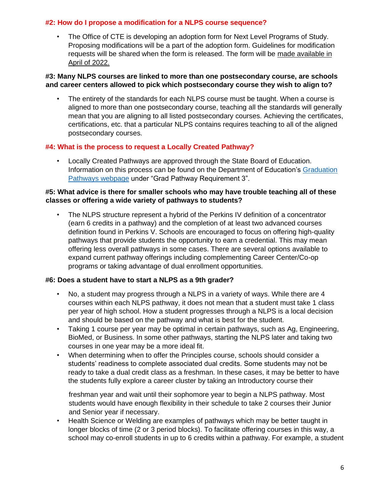## **#2: How do I propose a modification for a NLPS course sequence?**

The Office of CTE is developing an adoption form for Next Level Programs of Study. Proposing modifications will be a part of the adoption form. Guidelines for modification requests will be shared when the form is released. The form will be made available in April of 2022.

#### **#3: Many NLPS courses are linked to more than one postsecondary course, are schools and career centers allowed to pick which postsecondary course they wish to align to?**

The entirety of the standards for each NLPS course must be taught. When a course is aligned to more than one postsecondary course, teaching all the standards will generally mean that you are aligning to all listed postsecondary courses. Achieving the certificates, certifications, etc. that a particular NLPS contains requires teaching to all of the aligned postsecondary courses.

#### **#4: What is the process to request a Locally Created Pathway?**

• Locally Created Pathways are approved through the State Board of Education. Information on this process can be found on the Department of Education's [Graduation](https://www.in.gov/doe/students/graduation-pathways/) [Pathways webpage](https://www.in.gov/doe/students/graduation-pathways/) under "Grad Pathway Requirement 3".

#### **#5: What advice is there for smaller schools who may have trouble teaching all of these classes or offering a wide variety of pathways to students?**

• The NLPS structure represent a hybrid of the Perkins IV definition of a concentrator (earn 6 credits in a pathway) and the completion of at least two advanced courses definition found in Perkins V. Schools are encouraged to focus on offering high-quality pathways that provide students the opportunity to earn a credential. This may mean offering less overall pathways in some cases. There are several options available to expand current pathway offerings including complementing Career Center/Co-op programs or taking advantage of dual enrollment opportunities.

#### **#6: Does a student have to start a NLPS as a 9th grader?**

- No, a student may progress through a NLPS in a variety of ways. While there are 4 courses within each NLPS pathway, it does not mean that a student must take 1 class per year of high school. How a student progresses through a NLPS is a local decision and should be based on the pathway and what is best for the student.
- Taking 1 course per year may be optimal in certain pathways, such as Ag, Engineering, BioMed, or Business. In some other pathways, starting the NLPS later and taking two courses in one year may be a more ideal fit.
- When determining when to offer the Principles course, schools should consider a students' readiness to complete associated dual credits. Some students may not be ready to take a dual credit class as a freshman. In these cases, it may be better to have the students fully explore a career cluster by taking an Introductory course their

freshman year and wait until their sophomore year to begin a NLPS pathway. Most students would have enough flexibility in their schedule to take 2 courses their Junior and Senior year if necessary.

• Health Science or Welding are examples of pathways which may be better taught in longer blocks of time (2 or 3 period blocks). To facilitate offering courses in this way, a school may co-enroll students in up to 6 credits within a pathway. For example, a student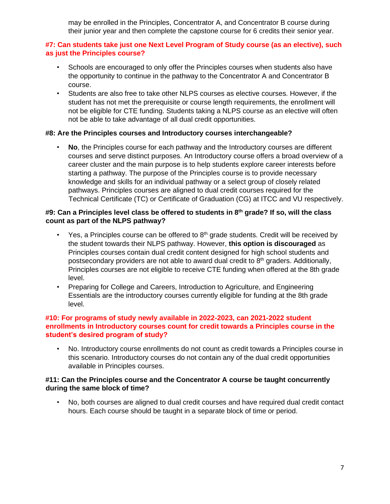may be enrolled in the Principles, Concentrator A, and Concentrator B course during their junior year and then complete the capstone course for 6 credits their senior year.

## **#7: Can students take just one Next Level Program of Study course (as an elective), such as just the Principles course?**

- Schools are encouraged to only offer the Principles courses when students also have the opportunity to continue in the pathway to the Concentrator A and Concentrator B course.
- Students are also free to take other NLPS courses as elective courses. However, if the student has not met the prerequisite or course length requirements, the enrollment will not be eligible for CTE funding. Students taking a NLPS course as an elective will often not be able to take advantage of all dual credit opportunities.

## **#8: Are the Principles courses and Introductory courses interchangeable?**

• **No**, the Principles course for each pathway and the Introductory courses are different courses and serve distinct purposes. An Introductory course offers a broad overview of a career cluster and the main purpose is to help students explore career interests before starting a pathway. The purpose of the Principles course is to provide necessary knowledge and skills for an individual pathway or a select group of closely related pathways. Principles courses are aligned to dual credit courses required for the Technical Certificate (TC) or Certificate of Graduation (CG) at ITCC and VU respectively.

### **#9: Can a Principles level class be offered to students in 8th grade? If so, will the class count as part of the NLPS pathway?**

- Yes, a Principles course can be offered to  $8<sup>th</sup>$  grade students. Credit will be received by the student towards their NLPS pathway. However, **this option is discouraged** as Principles courses contain dual credit content designed for high school students and postsecondary providers are not able to award dual credit to  $8<sup>th</sup>$  graders. Additionally, Principles courses are not eligible to receive CTE funding when offered at the 8th grade level.
- Preparing for College and Careers, Introduction to Agriculture, and Engineering Essentials are the introductory courses currently eligible for funding at the 8th grade level.

#### **#10: For programs of study newly available in 2022-2023, can 2021-2022 student enrollments in Introductory courses count for credit towards a Principles course in the student's desired program of study?**

• No. Introductory course enrollments do not count as credit towards a Principles course in this scenario. Introductory courses do not contain any of the dual credit opportunities available in Principles courses.

#### **#11: Can the Principles course and the Concentrator A course be taught concurrently during the same block of time?**

• No, both courses are aligned to dual credit courses and have required dual credit contact hours. Each course should be taught in a separate block of time or period.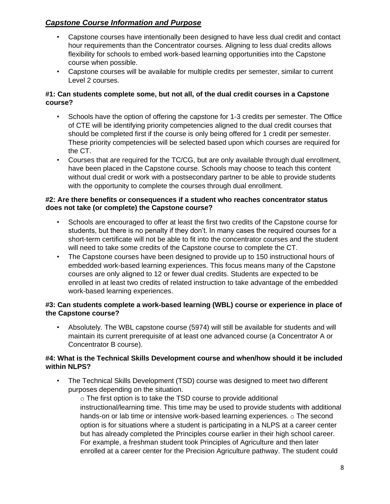# *Capstone Course Information and Purpose*

- Capstone courses have intentionally been designed to have less dual credit and contact hour requirements than the Concentrator courses. Aligning to less dual credits allows flexibility for schools to embed work-based learning opportunities into the Capstone course when possible.
- Capstone courses will be available for multiple credits per semester, similar to current Level 2 courses.

## **#1: Can students complete some, but not all, of the dual credit courses in a Capstone course?**

- Schools have the option of offering the capstone for 1-3 credits per semester. The Office of CTE will be identifying priority competencies aligned to the dual credit courses that should be completed first if the course is only being offered for 1 credit per semester. These priority competencies will be selected based upon which courses are required for the CT.
- Courses that are required for the TC/CG, but are only available through dual enrollment, have been placed in the Capstone course. Schools may choose to teach this content without dual credit or work with a postsecondary partner to be able to provide students with the opportunity to complete the courses through dual enrollment.

### **#2: Are there benefits or consequences if a student who reaches concentrator status does not take (or complete) the Capstone course?**

- Schools are encouraged to offer at least the first two credits of the Capstone course for students, but there is no penalty if they don't. In many cases the required courses for a short-term certificate will not be able to fit into the concentrator courses and the student will need to take some credits of the Capstone course to complete the CT.
- The Capstone courses have been designed to provide up to 150 instructional hours of embedded work-based learning experiences. This focus means many of the Capstone courses are only aligned to 12 or fewer dual credits. Students are expected to be enrolled in at least two credits of related instruction to take advantage of the embedded work-based learning experiences.

## **#3: Can students complete a work-based learning (WBL) course or experience in place of the Capstone course?**

• Absolutely. The WBL capstone course (5974) will still be available for students and will maintain its current prerequisite of at least one advanced course (a Concentrator A or Concentrator B course).

## **#4: What is the Technical Skills Development course and when/how should it be included within NLPS?**

• The Technical Skills Development (TSD) course was designed to meet two different purposes depending on the situation.

o The first option is to take the TSD course to provide additional instructional/learning time. This time may be used to provide students with additional hands-on or lab time or intensive work-based learning experiences. o The second option is for situations where a student is participating in a NLPS at a career center but has already completed the Principles course earlier in their high school career. For example, a freshman student took Principles of Agriculture and then later enrolled at a career center for the Precision Agriculture pathway. The student could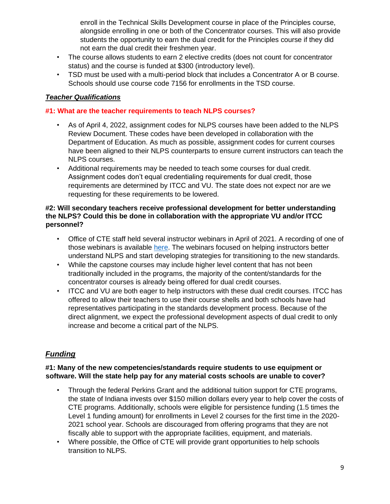enroll in the Technical Skills Development course in place of the Principles course, alongside enrolling in one or both of the Concentrator courses. This will also provide students the opportunity to earn the dual credit for the Principles course if they did not earn the dual credit their freshmen year.

- The course allows students to earn 2 elective credits (does not count for concentrator status) and the course is funded at \$300 (introductory level).
- TSD must be used with a multi-period block that includes a Concentrator A or B course. Schools should use course code 7156 for enrollments in the TSD course.

## *Teacher Qualifications*

## **#1: What are the teacher requirements to teach NLPS courses?**

- As of April 4, 2022, assignment codes for NLPS courses have been added to the NLPS Review Document. These codes have been developed in collaboration with the Department of Education. As much as possible, assignment codes for current courses have been aligned to their NLPS counterparts to ensure current instructors can teach the NLPS courses.
- Additional requirements may be needed to teach some courses for dual credit. Assignment codes don't equal credentialing requirements for dual credit, those requirements are determined by ITCC and VU. The state does not expect nor are we requesting for these requirements to be lowered.

#### **#2: Will secondary teachers receive professional development for better understanding the NLPS? Could this be done in collaboration with the appropriate VU and/or ITCC personnel?**

- Office of CTE staff held several instructor webinars in April of 2021. A recording of one of those webinars is available [here.](https://www.youtube.com/watch?v=-OJ9p2zAFBc) The webinars focused on helping instructors better understand NLPS and start developing strategies for transitioning to the new standards.
- While the capstone courses may include higher level content that has not been traditionally included in the programs, the majority of the content/standards for the concentrator courses is already being offered for dual credit courses.
- ITCC and VU are both eager to help instructors with these dual credit courses. ITCC has offered to allow their teachers to use their course shells and both schools have had representatives participating in the standards development process. Because of the direct alignment, we expect the professional development aspects of dual credit to only increase and become a critical part of the NLPS.

## *Funding*

#### **#1: Many of the new competencies/standards require students to use equipment or software. Will the state help pay for any material costs schools are unable to cover?**

- Through the federal Perkins Grant and the additional tuition support for CTE programs, the state of Indiana invests over \$150 million dollars every year to help cover the costs of CTE programs. Additionally, schools were eligible for persistence funding (1.5 times the Level 1 funding amount) for enrollments in Level 2 courses for the first time in the 2020- 2021 school year. Schools are discouraged from offering programs that they are not fiscally able to support with the appropriate facilities, equipment, and materials.
- Where possible, the Office of CTE will provide grant opportunities to help schools transition to NLPS.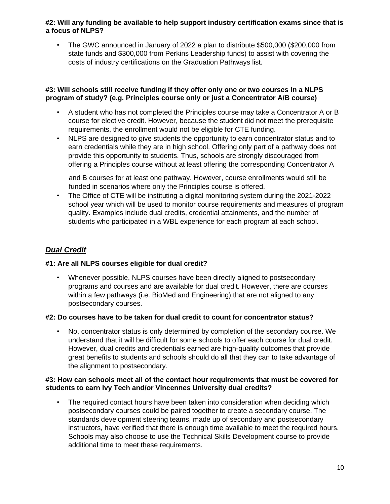## **#2: Will any funding be available to help support industry certification exams since that is a focus of NLPS?**

• The GWC announced in January of 2022 a plan to distribute \$500,000 (\$200,000 from state funds and \$300,000 from Perkins Leadership funds) to assist with covering the costs of industry certifications on the Graduation Pathways list.

### **#3: Will schools still receive funding if they offer only one or two courses in a NLPS program of study? (e.g. Principles course only or just a Concentrator A/B course)**

- A student who has not completed the Principles course may take a Concentrator A or B course for elective credit. However, because the student did not meet the prerequisite requirements, the enrollment would not be eligible for CTE funding.
- NLPS are designed to give students the opportunity to earn concentrator status and to earn credentials while they are in high school. Offering only part of a pathway does not provide this opportunity to students. Thus, schools are strongly discouraged from offering a Principles course without at least offering the corresponding Concentrator A

and B courses for at least one pathway. However, course enrollments would still be funded in scenarios where only the Principles course is offered.

• The Office of CTE will be instituting a digital monitoring system during the 2021-2022 school year which will be used to monitor course requirements and measures of program quality. Examples include dual credits, credential attainments, and the number of students who participated in a WBL experience for each program at each school.

# *Dual Credit*

## **#1: Are all NLPS courses eligible for dual credit?**

• Whenever possible, NLPS courses have been directly aligned to postsecondary programs and courses and are available for dual credit. However, there are courses within a few pathways (i.e. BioMed and Engineering) that are not aligned to any postsecondary courses.

#### **#2: Do courses have to be taken for dual credit to count for concentrator status?**

• No, concentrator status is only determined by completion of the secondary course. We understand that it will be difficult for some schools to offer each course for dual credit. However, dual credits and credentials earned are high-quality outcomes that provide great benefits to students and schools should do all that they can to take advantage of the alignment to postsecondary.

## **#3: How can schools meet all of the contact hour requirements that must be covered for students to earn Ivy Tech and/or Vincennes University dual credits?**

The required contact hours have been taken into consideration when deciding which postsecondary courses could be paired together to create a secondary course. The standards development steering teams, made up of secondary and postsecondary instructors, have verified that there is enough time available to meet the required hours. Schools may also choose to use the Technical Skills Development course to provide additional time to meet these requirements.